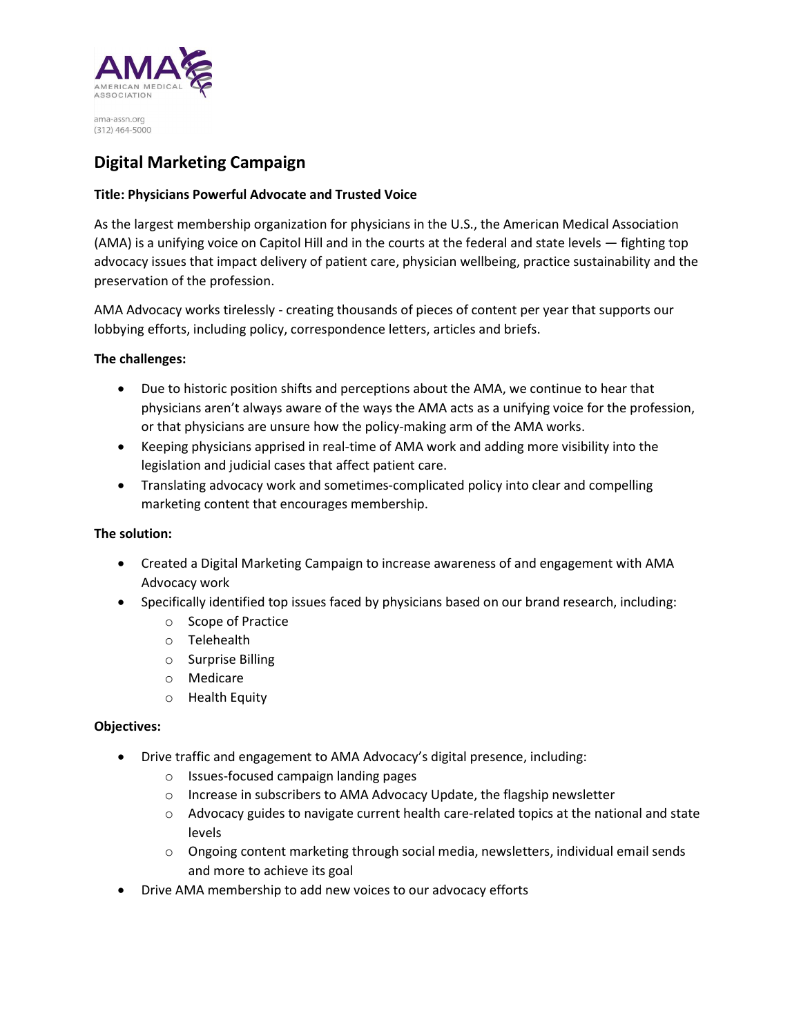

# Digital Marketing Campaign

## Title: Physicians Powerful Advocate and Trusted Voice

As the largest membership organization for physicians in the U.S., the American Medical Association (AMA) is a unifying voice on Capitol Hill and in the courts at the federal and state levels — fighting top advocacy issues that impact delivery of patient care, physician wellbeing, practice sustainability and the preservation of the profession.

AMA Advocacy works tirelessly - creating thousands of pieces of content per year that supports our lobbying efforts, including policy, correspondence letters, articles and briefs.

### The challenges:

- Due to historic position shifts and perceptions about the AMA, we continue to hear that physicians aren't always aware of the ways the AMA acts as a unifying voice for the profession, or that physicians are unsure how the policy-making arm of the AMA works.
- Keeping physicians apprised in real-time of AMA work and adding more visibility into the legislation and judicial cases that affect patient care.
- Translating advocacy work and sometimes-complicated policy into clear and compelling marketing content that encourages membership.

### The solution:

- Created a Digital Marketing Campaign to increase awareness of and engagement with AMA Advocacy work
- Specifically identified top issues faced by physicians based on our brand research, including:
	- o Scope of Practice
	- o Telehealth
	- o Surprise Billing
	- o Medicare
	- o Health Equity

#### Objectives:

- Drive traffic and engagement to AMA Advocacy's digital presence, including:
	- o Issues-focused campaign landing pages
	- o Increase in subscribers to AMA Advocacy Update, the flagship newsletter
	- $\circ$  Advocacy guides to navigate current health care-related topics at the national and state levels
	- $\circ$  Ongoing content marketing through social media, newsletters, individual email sends and more to achieve its goal
- Drive AMA membership to add new voices to our advocacy efforts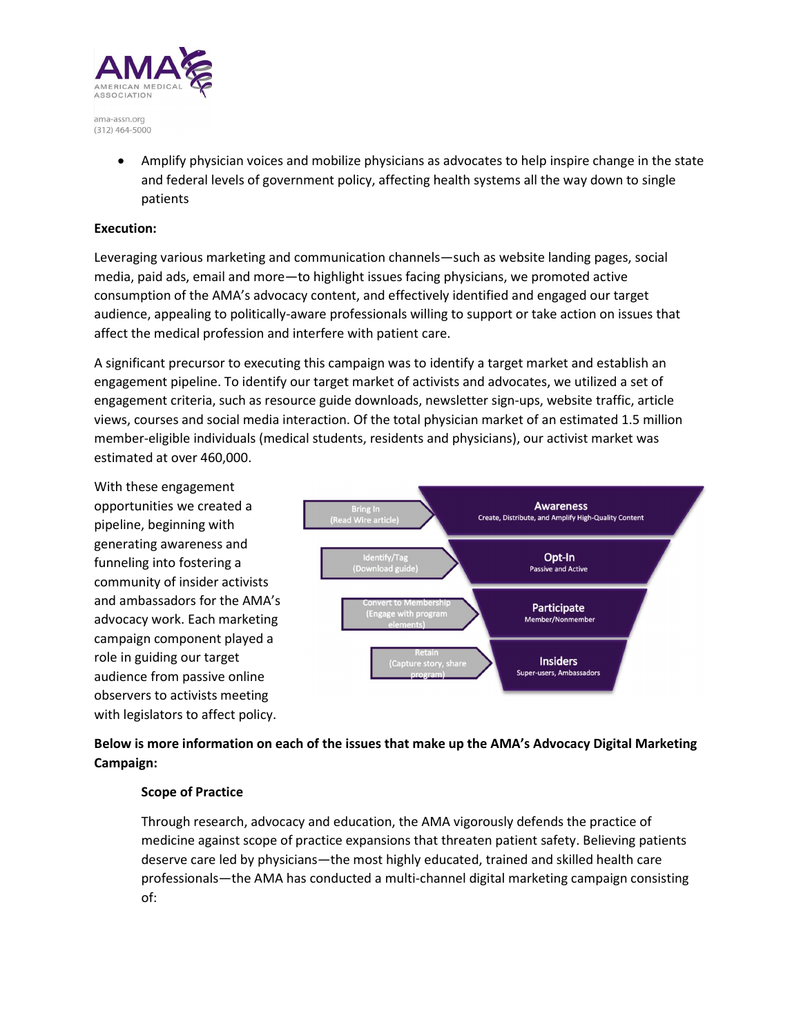

> Amplify physician voices and mobilize physicians as advocates to help inspire change in the state and federal levels of government policy, affecting health systems all the way down to single patients

### Execution:

Leveraging various marketing and communication channels—such as website landing pages, social media, paid ads, email and more—to highlight issues facing physicians, we promoted active consumption of the AMA's advocacy content, and effectively identified and engaged our target audience, appealing to politically-aware professionals willing to support or take action on issues that affect the medical profession and interfere with patient care.

A significant precursor to executing this campaign was to identify a target market and establish an engagement pipeline. To identify our target market of activists and advocates, we utilized a set of engagement criteria, such as resource guide downloads, newsletter sign-ups, website traffic, article views, courses and social media interaction. Of the total physician market of an estimated 1.5 million member-eligible individuals (medical students, residents and physicians), our activist market was estimated at over 460,000.

With these engagement opportunities we created a pipeline, beginning with generating awareness and funneling into fostering a community of insider activists and ambassadors for the AMA's advocacy work. Each marketing campaign component played a role in guiding our target audience from passive online observers to activists meeting with legislators to affect policy.



# Below is more information on each of the issues that make up the AMA's Advocacy Digital Marketing Campaign:

### Scope of Practice

Through research, advocacy and education, the AMA vigorously defends the practice of medicine against scope of practice expansions that threaten patient safety. Believing patients deserve care led by physicians—the most highly educated, trained and skilled health care professionals—the AMA has conducted a multi-channel digital marketing campaign consisting of: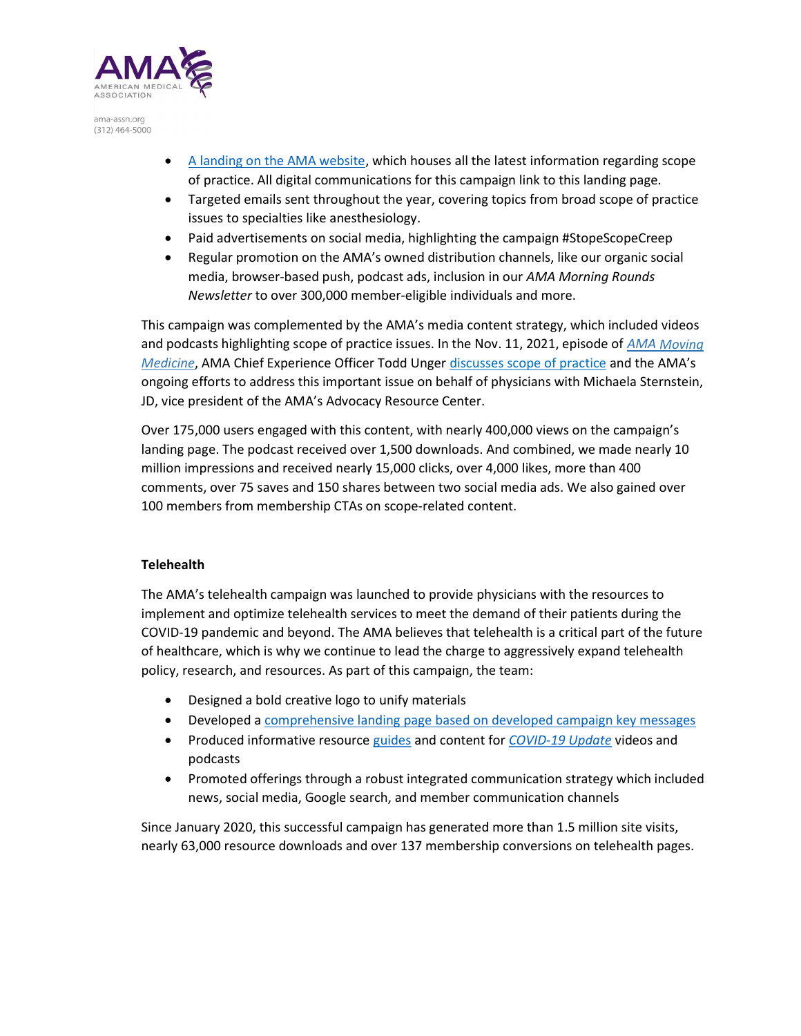

- A landing on the AMA website, which houses all the latest information regarding scope of practice. All digital communications for this campaign link to this landing page.
- Targeted emails sent throughout the year, covering topics from broad scope of practice issues to specialties like anesthesiology.
- Paid advertisements on social media, highlighting the campaign #StopeScopeCreep
- Regular promotion on the AMA's owned distribution channels, like our organic social media, browser-based push, podcast ads, inclusion in our AMA Morning Rounds Newsletter to over 300,000 member-eligible individuals and more.

This campaign was complemented by the AMA's media content strategy, which included videos and podcasts highlighting scope of practice issues. In the Nov. 11, 2021, episode of AMA Moving Medicine, AMA Chief Experience Officer Todd Unger discusses scope of practice and the AMA's ongoing efforts to address this important issue on behalf of physicians with Michaela Sternstein, JD, vice president of the AMA's Advocacy Resource Center.

Over 175,000 users engaged with this content, with nearly 400,000 views on the campaign's landing page. The podcast received over 1,500 downloads. And combined, we made nearly 10 million impressions and received nearly 15,000 clicks, over 4,000 likes, more than 400 comments, over 75 saves and 150 shares between two social media ads. We also gained over 100 members from membership CTAs on scope-related content.

### Telehealth

The AMA's telehealth campaign was launched to provide physicians with the resources to implement and optimize telehealth services to meet the demand of their patients during the COVID-19 pandemic and beyond. The AMA believes that telehealth is a critical part of the future of healthcare, which is why we continue to lead the charge to aggressively expand telehealth policy, research, and resources. As part of this campaign, the team:

- Designed a bold creative logo to unify materials
- Developed a comprehensive landing page based on developed campaign key messages
- Produced informative resource guides and content for COVID-19 Update videos and podcasts
- Promoted offerings through a robust integrated communication strategy which included news, social media, Google search, and member communication channels

Since January 2020, this successful campaign has generated more than 1.5 million site visits, nearly 63,000 resource downloads and over 137 membership conversions on telehealth pages.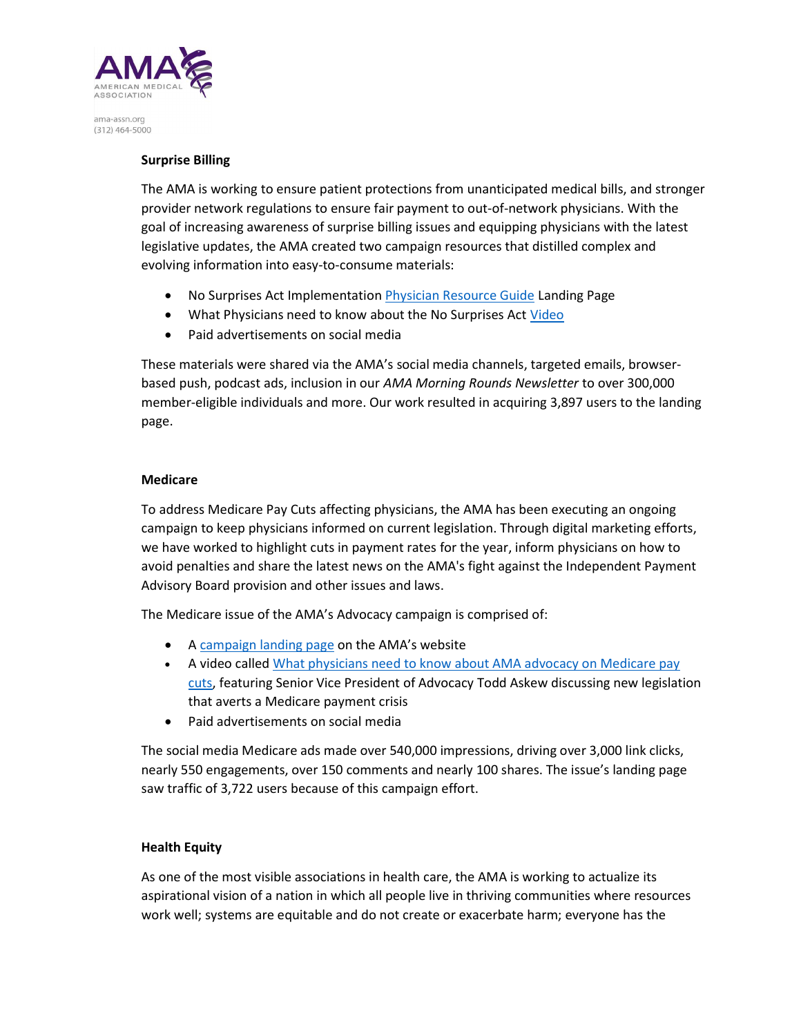

### Surprise Billing

The AMA is working to ensure patient protections from unanticipated medical bills, and stronger provider network regulations to ensure fair payment to out-of-network physicians. With the goal of increasing awareness of surprise billing issues and equipping physicians with the latest legislative updates, the AMA created two campaign resources that distilled complex and evolving information into easy-to-consume materials:

- No Surprises Act Implementation Physician Resource Guide Landing Page
- What Physicians need to know about the No Surprises Act Video
- Paid advertisements on social media

These materials were shared via the AMA's social media channels, targeted emails, browserbased push, podcast ads, inclusion in our AMA Morning Rounds Newsletter to over 300,000 member-eligible individuals and more. Our work resulted in acquiring 3,897 users to the landing page.

#### Medicare

To address Medicare Pay Cuts affecting physicians, the AMA has been executing an ongoing campaign to keep physicians informed on current legislation. Through digital marketing efforts, we have worked to highlight cuts in payment rates for the year, inform physicians on how to avoid penalties and share the latest news on the AMA's fight against the Independent Payment Advisory Board provision and other issues and laws.

The Medicare issue of the AMA's Advocacy campaign is comprised of:

- A campaign landing page on the AMA's website
- A video called What physicians need to know about AMA advocacy on Medicare pay cuts, featuring Senior Vice President of Advocacy Todd Askew discussing new legislation that averts a Medicare payment crisis
- Paid advertisements on social media

The social media Medicare ads made over 540,000 impressions, driving over 3,000 link clicks, nearly 550 engagements, over 150 comments and nearly 100 shares. The issue's landing page saw traffic of 3,722 users because of this campaign effort.

### Health Equity

As one of the most visible associations in health care, the AMA is working to actualize its aspirational vision of a nation in which all people live in thriving communities where resources work well; systems are equitable and do not create or exacerbate harm; everyone has the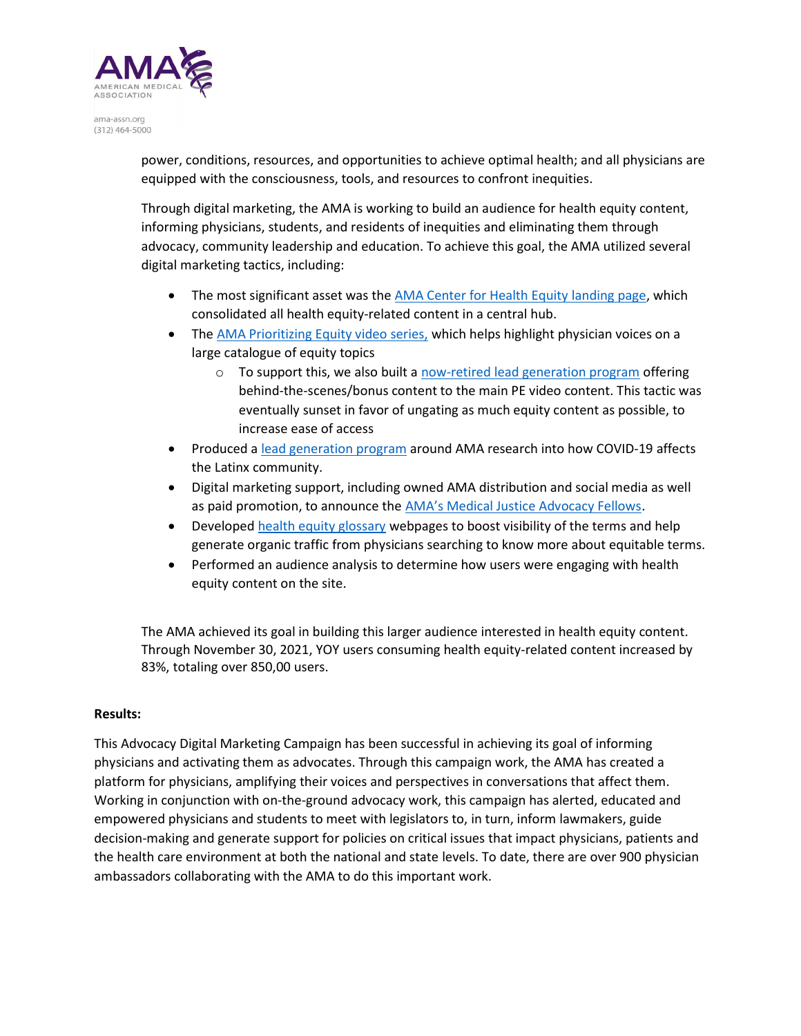

> power, conditions, resources, and opportunities to achieve optimal health; and all physicians are equipped with the consciousness, tools, and resources to confront inequities.

Through digital marketing, the AMA is working to build an audience for health equity content, informing physicians, students, and residents of inequities and eliminating them through advocacy, community leadership and education. To achieve this goal, the AMA utilized several digital marketing tactics, including:

- The most significant asset was the AMA Center for Health Equity landing page, which consolidated all health equity-related content in a central hub.
- The AMA Prioritizing Equity video series, which helps highlight physician voices on a large catalogue of equity topics
	- $\circ$  To support this, we also built a now-retired lead generation program offering behind-the-scenes/bonus content to the main PE video content. This tactic was eventually sunset in favor of ungating as much equity content as possible, to increase ease of access
- Produced a lead generation program around AMA research into how COVID-19 affects the Latinx community.
- Digital marketing support, including owned AMA distribution and social media as well as paid promotion, to announce the AMA's Medical Justice Advocacy Fellows.
- Developed health equity glossary webpages to boost visibility of the terms and help generate organic traffic from physicians searching to know more about equitable terms.
- Performed an audience analysis to determine how users were engaging with health equity content on the site.

The AMA achieved its goal in building this larger audience interested in health equity content. Through November 30, 2021, YOY users consuming health equity-related content increased by 83%, totaling over 850,00 users.

### Results:

This Advocacy Digital Marketing Campaign has been successful in achieving its goal of informing physicians and activating them as advocates. Through this campaign work, the AMA has created a platform for physicians, amplifying their voices and perspectives in conversations that affect them. Working in conjunction with on-the-ground advocacy work, this campaign has alerted, educated and empowered physicians and students to meet with legislators to, in turn, inform lawmakers, guide decision-making and generate support for policies on critical issues that impact physicians, patients and the health care environment at both the national and state levels. To date, there are over 900 physician ambassadors collaborating with the AMA to do this important work.